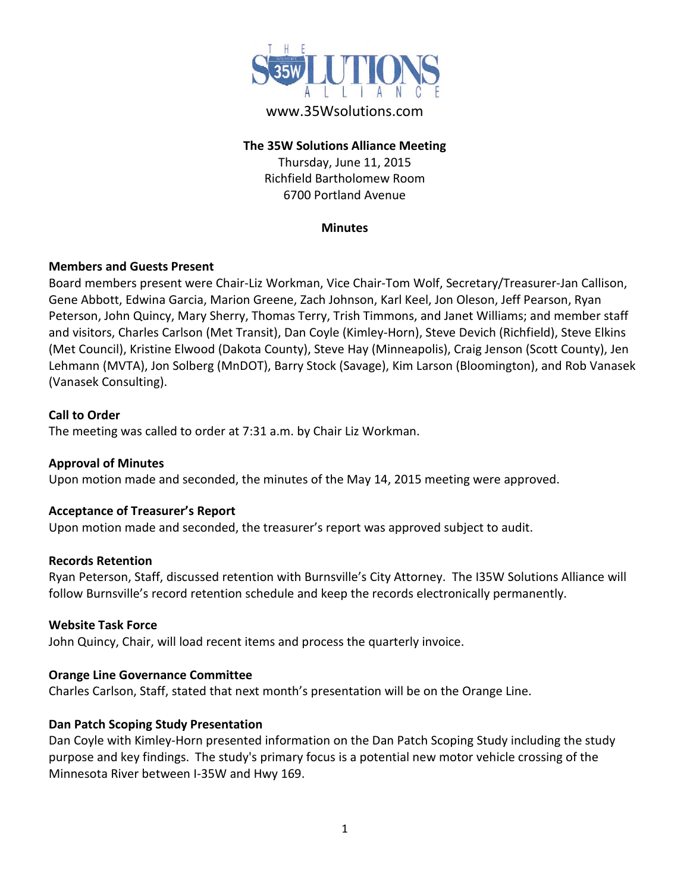

## www.35Wsolutions.com

## **The 35W Solutions Alliance Meeting**

Thursday, June 11, 2015 Richfield Bartholomew Room 6700 Portland Avenue

#### **Minutes**

### **Members and Guests Present**

Board members present were Chair-Liz Workman, Vice Chair-Tom Wolf, Secretary/Treasurer-Jan Callison, Gene Abbott, Edwina Garcia, Marion Greene, Zach Johnson, Karl Keel, Jon Oleson, Jeff Pearson, Ryan Peterson, John Quincy, Mary Sherry, Thomas Terry, Trish Timmons, and Janet Williams; and member staff and visitors, Charles Carlson (Met Transit), Dan Coyle (Kimley-Horn), Steve Devich (Richfield), Steve Elkins (Met Council), Kristine Elwood (Dakota County), Steve Hay (Minneapolis), Craig Jenson (Scott County), Jen Lehmann (MVTA), Jon Solberg (MnDOT), Barry Stock (Savage), Kim Larson (Bloomington), and Rob Vanasek (Vanasek Consulting).

### **Call to Order**

The meeting was called to order at 7:31 a.m. by Chair Liz Workman.

## **Approval of Minutes**

Upon motion made and seconded, the minutes of the May 14, 2015 meeting were approved.

### **Acceptance of Treasurer's Report**

Upon motion made and seconded, the treasurer's report was approved subject to audit.

### **Records Retention**

Ryan Peterson, Staff, discussed retention with Burnsville's City Attorney. The I35W Solutions Alliance will follow Burnsville's record retention schedule and keep the records electronically permanently.

### **Website Task Force**

John Quincy, Chair, will load recent items and process the quarterly invoice.

### **Orange Line Governance Committee**

Charles Carlson, Staff, stated that next month's presentation will be on the Orange Line.

### **Dan Patch Scoping Study Presentation**

Dan Coyle with Kimley-Horn presented information on the Dan Patch Scoping Study including the study purpose and key findings. The study's primary focus is a potential new motor vehicle crossing of the Minnesota River between I-35W and Hwy 169.